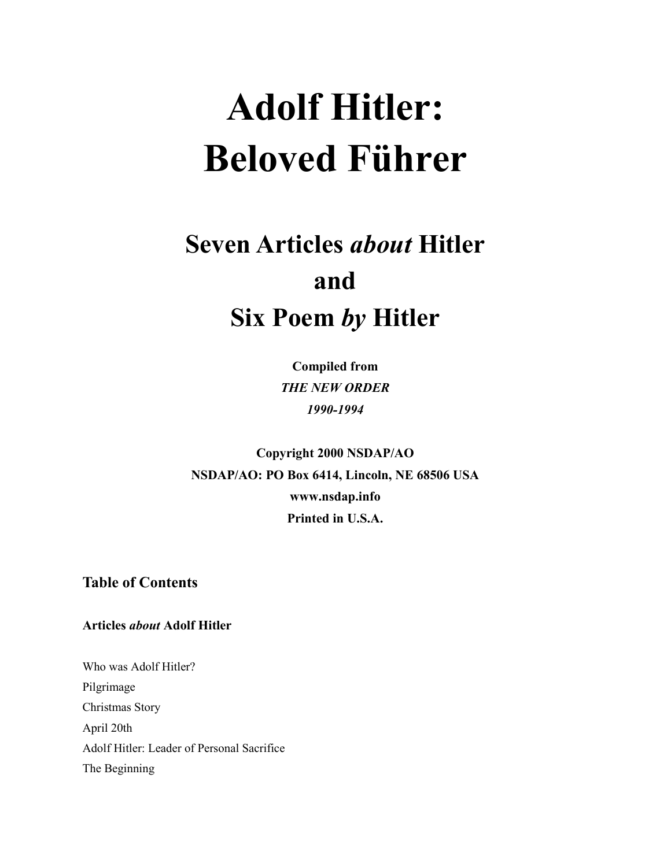# **Adolf Hitler: Beloved Führer**

# **Seven Articles** *about* **Hitler and Six Poem** *by* **Hitler**

**Compiled from** *THE NEW ORDER 1990-1994*

**Copyright 2000 NSDAP/AO NSDAP/AO: PO Box 6414, Lincoln, NE 68506 USA www.nsdap.info Printed in U.S.A.**

**Table of Contents**

**Articles** *about* **Adolf Hitler**

Who was Adolf Hitler? Pilgrimage Christmas Story April 20th Adolf Hitler: Leader of Personal Sacrifice The Beginning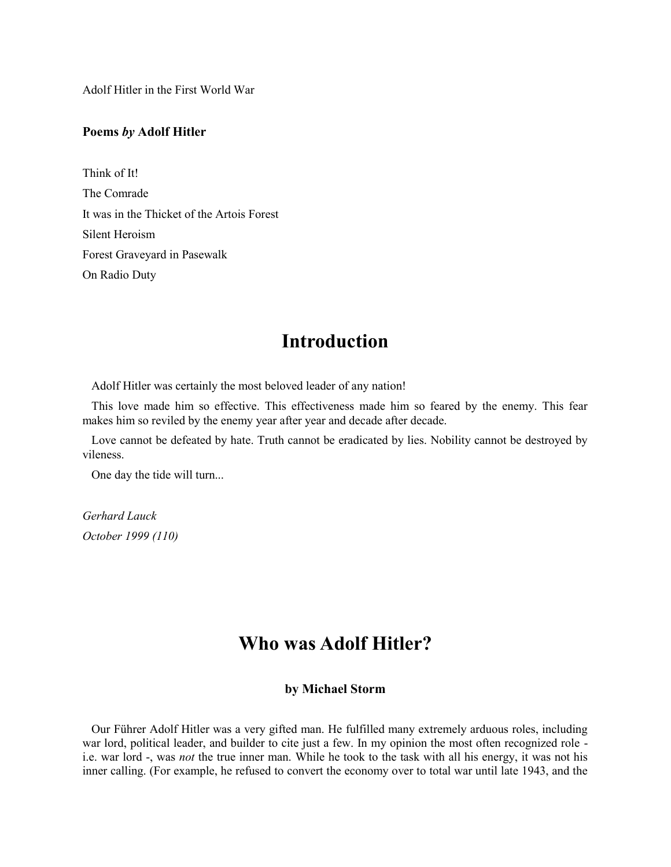Adolf Hitler in the First World War

#### **Poems** *by* **Adolf Hitler**

Think of It! The Comrade It was in the Thicket of the Artois Forest Silent Heroism Forest Graveyard in Pasewalk On Radio Duty

## **Introduction**

Adolf Hitler was certainly the most beloved leader of any nation!

 This love made him so effective. This effectiveness made him so feared by the enemy. This fear makes him so reviled by the enemy year after year and decade after decade.

 Love cannot be defeated by hate. Truth cannot be eradicated by lies. Nobility cannot be destroyed by vileness.

One day the tide will turn...

*Gerhard Lauck October 1999 (110)*

# **Who was Adolf Hitler?**

#### **by Michael Storm**

 Our Führer Adolf Hitler was a very gifted man. He fulfilled many extremely arduous roles, including war lord, political leader, and builder to cite just a few. In my opinion the most often recognized role i.e. war lord -, was *not* the true inner man. While he took to the task with all his energy, it was not his inner calling. (For example, he refused to convert the economy over to total war until late 1943, and the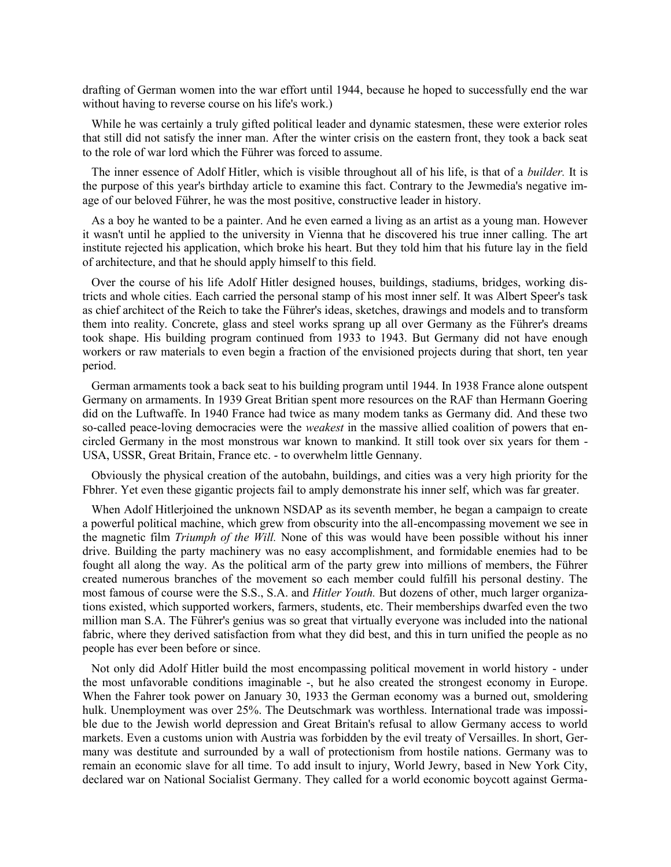drafting of German women into the war effort until 1944, because he hoped to successfully end the war without having to reverse course on his life's work.)

 While he was certainly a truly gifted political leader and dynamic statesmen, these were exterior roles that still did not satisfy the inner man. After the winter crisis on the eastern front, they took a back seat to the role of war lord which the Führer was forced to assume.

 The inner essence of Adolf Hitler, which is visible throughout all of his life, is that of a *builder.* It is the purpose of this year's birthday article to examine this fact. Contrary to the Jewmedia's negative image of our beloved Führer, he was the most positive, constructive leader in history.

 As a boy he wanted to be a painter. And he even earned a living as an artist as a young man. However it wasn't until he applied to the university in Vienna that he discovered his true inner calling. The art institute rejected his application, which broke his heart. But they told him that his future lay in the field of architecture, and that he should apply himself to this field.

 Over the course of his life Adolf Hitler designed houses, buildings, stadiums, bridges, working districts and whole cities. Each carried the personal stamp of his most inner self. It was Albert Speer's task as chief architect of the Reich to take the Führer's ideas, sketches, drawings and models and to transform them into reality. Concrete, glass and steel works sprang up all over Germany as the Führer's dreams took shape. His building program continued from 1933 to 1943. But Germany did not have enough workers or raw materials to even begin a fraction of the envisioned projects during that short, ten year period.

 German armaments took a back seat to his building program until 1944. In 1938 France alone outspent Germany on armaments. In 1939 Great Britian spent more resources on the RAF than Hermann Goering did on the Luftwaffe. In 1940 France had twice as many modem tanks as Germany did. And these two so-called peace-loving democracies were the *weakest* in the massive allied coalition of powers that encircled Germany in the most monstrous war known to mankind. It still took over six years for them - USA, USSR, Great Britain, France etc. - to overwhelm little Gennany.

 Obviously the physical creation of the autobahn, buildings, and cities was a very high priority for the Fbhrer. Yet even these gigantic projects fail to amply demonstrate his inner self, which was far greater.

 When Adolf Hitlerjoined the unknown NSDAP as its seventh member, he began a campaign to create a powerful political machine, which grew from obscurity into the all-encompassing movement we see in the magnetic film *Triumph of the Will.* None of this was would have been possible without his inner drive. Building the party machinery was no easy accomplishment, and formidable enemies had to be fought all along the way. As the political arm of the party grew into millions of members, the Führer created numerous branches of the movement so each member could fulfill his personal destiny. The most famous of course were the S.S., S.A. and *Hitler Youth.* But dozens of other, much larger organizations existed, which supported workers, farmers, students, etc. Their memberships dwarfed even the two million man S.A. The Führer's genius was so great that virtually everyone was included into the national fabric, where they derived satisfaction from what they did best, and this in turn unified the people as no people has ever been before or since.

 Not only did Adolf Hitler build the most encompassing political movement in world history - under the most unfavorable conditions imaginable -, but he also created the strongest economy in Europe. When the Fahrer took power on January 30, 1933 the German economy was a burned out, smoldering hulk. Unemployment was over 25%. The Deutschmark was worthless. International trade was impossible due to the Jewish world depression and Great Britain's refusal to allow Germany access to world markets. Even a customs union with Austria was forbidden by the evil treaty of Versailles. In short, Germany was destitute and surrounded by a wall of protectionism from hostile nations. Germany was to remain an economic slave for all time. To add insult to injury, World Jewry, based in New York City, declared war on National Socialist Germany. They called for a world economic boycott against Germa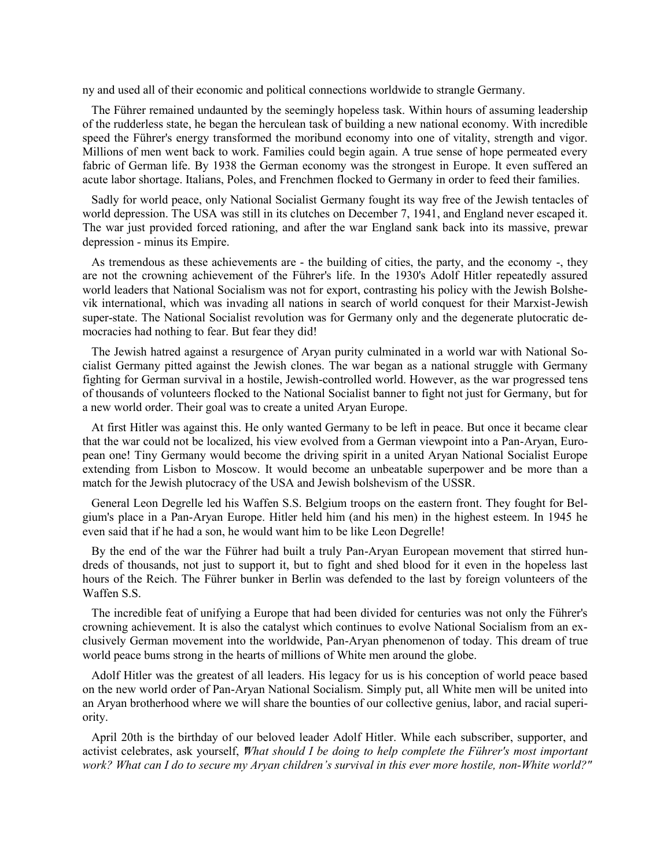ny and used all of their economic and political connections worldwide to strangle Germany.

 The Führer remained undaunted by the seemingly hopeless task. Within hours of assuming leadership of the rudderless state, he began the herculean task of building a new national economy. With incredible speed the Führer's energy transformed the moribund economy into one of vitality, strength and vigor. Millions of men went back to work. Families could begin again. A true sense of hope permeated every fabric of German life. By 1938 the German economy was the strongest in Europe. It even suffered an acute labor shortage. Italians, Poles, and Frenchmen flocked to Germany in order to feed their families.

 Sadly for world peace, only National Socialist Germany fought its way free of the Jewish tentacles of world depression. The USA was still in its clutches on December 7, 1941, and England never escaped it. The war just provided forced rationing, and after the war England sank back into its massive, prewar depression - minus its Empire.

 As tremendous as these achievements are - the building of cities, the party, and the economy -, they are not the crowning achievement of the Führer's life. In the 1930's Adolf Hitler repeatedly assured world leaders that National Socialism was not for export, contrasting his policy with the Jewish Bolshevik international, which was invading all nations in search of world conquest for their Marxist-Jewish super-state. The National Socialist revolution was for Germany only and the degenerate plutocratic democracies had nothing to fear. But fear they did!

 The Jewish hatred against a resurgence of Aryan purity culminated in a world war with National Socialist Germany pitted against the Jewish clones. The war began as a national struggle with Germany fighting for German survival in a hostile, Jewish-controlled world. However, as the war progressed tens of thousands of volunteers flocked to the National Socialist banner to fight not just for Germany, but for a new world order. Their goal was to create a united Aryan Europe.

 At first Hitler was against this. He only wanted Germany to be left in peace. But once it became clear that the war could not be localized, his view evolved from a German viewpoint into a Pan-Aryan, European one! Tiny Germany would become the driving spirit in a united Aryan National Socialist Europe extending from Lisbon to Moscow. It would become an unbeatable superpower and be more than a match for the Jewish plutocracy of the USA and Jewish bolshevism of the USSR.

 General Leon Degrelle led his Waffen S.S. Belgium troops on the eastern front. They fought for Belgium's place in a Pan-Aryan Europe. Hitler held him (and his men) in the highest esteem. In 1945 he even said that if he had a son, he would want him to be like Leon Degrelle!

 By the end of the war the Führer had built a truly Pan-Aryan European movement that stirred hundreds of thousands, not just to support it, but to fight and shed blood for it even in the hopeless last hours of the Reich. The Führer bunker in Berlin was defended to the last by foreign volunteers of the Waffen S.S.

 The incredible feat of unifying a Europe that had been divided for centuries was not only the Führer's crowning achievement. It is also the catalyst which continues to evolve National Socialism from an exclusively German movement into the worldwide, Pan-Aryan phenomenon of today. This dream of true world peace bums strong in the hearts of millions of White men around the globe.

 Adolf Hitler was the greatest of all leaders. His legacy for us is his conception of world peace based on the new world order of Pan-Aryan National Socialism. Simply put, all White men will be united into an Aryan brotherhood where we will share the bounties of our collective genius, labor, and racial superiority.

 April 20th is the birthday of our beloved leader Adolf Hitler. While each subscriber, supporter, and activist celebrates, ask yourself, *"What should I be doing to help complete the Führer's most important work? What can I do to secure my Aryan children's survival in this ever more hostile, non-White world?"*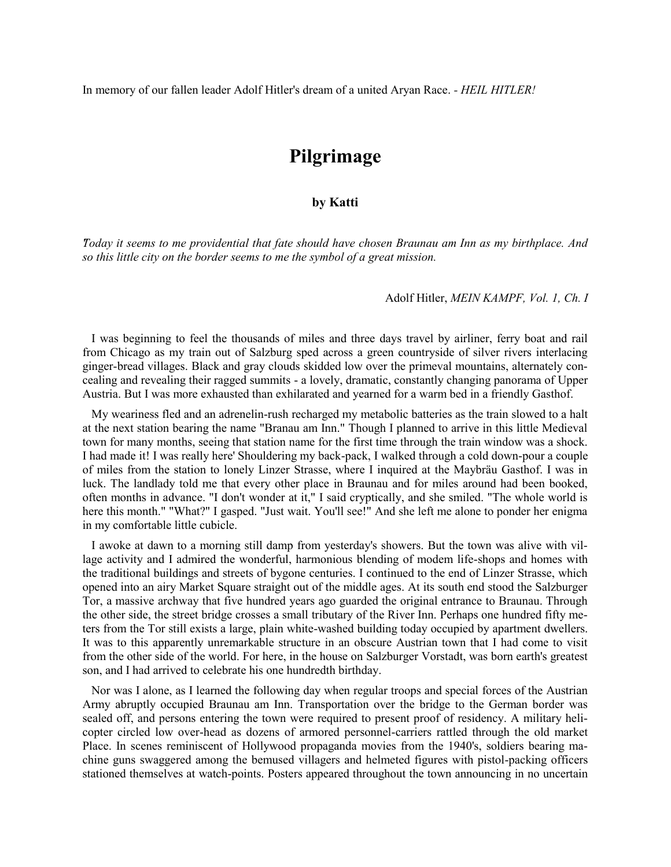In memory of our fallen leader Adolf Hitler's dream of a united Aryan Race. *- HEIL HITLER!*

# **Pilgrimage**

#### **by Katti**

*"Today it seems to me providential that fate should have chosen Braunau am Inn as my birthplace. And so this little city on the border seems to me the symbol of a great mission.*

#### Adolf Hitler, *MEIN KAMPF, Vol. 1, Ch. I*

 I was beginning to feel the thousands of miles and three days travel by airliner, ferry boat and rail from Chicago as my train out of Salzburg sped across a green countryside of silver rivers interlacing ginger-bread villages. Black and gray clouds skidded low over the primeval mountains, alternately concealing and revealing their ragged summits - a lovely, dramatic, constantly changing panorama of Upper Austria. But I was more exhausted than exhilarated and yearned for a warm bed in a friendly Gasthof.

 My weariness fled and an adrenelin-rush recharged my metabolic batteries as the train slowed to a halt at the next station bearing the name "Branau am Inn." Though I planned to arrive in this little Medieval town for many months, seeing that station name for the first time through the train window was a shock. I had made it! I was really here' Shouldering my back-pack, I walked through a cold down-pour a couple of miles from the station to lonely Linzer Strasse, where I inquired at the Maybräu Gasthof. I was in luck. The landlady told me that every other place in Braunau and for miles around had been booked, often months in advance. "I don't wonder at it," I said cryptically, and she smiled. "The whole world is here this month." "What?" I gasped. "Just wait. You'll see!" And she left me alone to ponder her enigma in my comfortable little cubicle.

 I awoke at dawn to a morning still damp from yesterday's showers. But the town was alive with village activity and I admired the wonderful, harmonious blending of modem life-shops and homes with the traditional buildings and streets of bygone centuries. I continued to the end of Linzer Strasse, which opened into an airy Market Square straight out of the middle ages. At its south end stood the Salzburger Tor, a massive archway that five hundred years ago guarded the original entrance to Braunau. Through the other side, the street bridge crosses a small tributary of the River Inn. Perhaps one hundred fifty meters from the Tor still exists a large, plain white-washed building today occupied by apartment dwellers. It was to this apparently unremarkable structure in an obscure Austrian town that I had come to visit from the other side of the world. For here, in the house on Salzburger Vorstadt, was born earth's greatest son, and I had arrived to celebrate his one hundredth birthday.

 Nor was I alone, as I learned the following day when regular troops and special forces of the Austrian Army abruptly occupied Braunau am Inn. Transportation over the bridge to the German border was sealed off, and persons entering the town were required to present proof of residency. A military helicopter circled low over-head as dozens of armored personnel-carriers rattled through the old market Place. In scenes reminiscent of Hollywood propaganda movies from the 1940's, soldiers bearing machine guns swaggered among the bemused villagers and helmeted figures with pistol-packing officers stationed themselves at watch-points. Posters appeared throughout the town announcing in no uncertain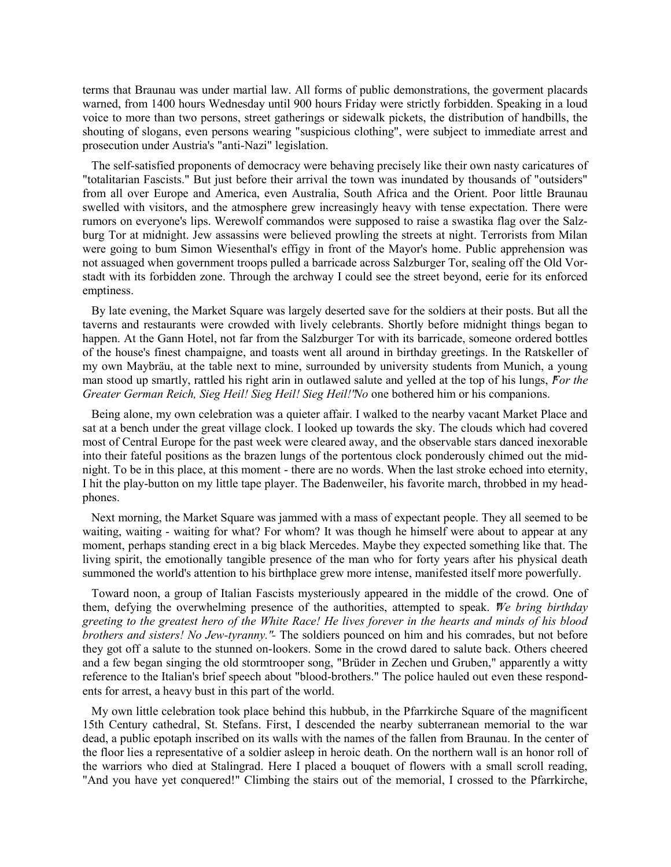terms that Braunau was under martial law. All forms of public demonstrations, the goverment placards warned, from 1400 hours Wednesday until 900 hours Friday were strictly forbidden. Speaking in a loud voice to more than two persons, street gatherings or sidewalk pickets, the distribution of handbills, the shouting of slogans, even persons wearing "suspicious clothing", were subject to immediate arrest and prosecution under Austria's "anti-Nazi" legislation.

 The self-satisfied proponents of democracy were behaving precisely like their own nasty caricatures of "totalitarian Fascists." But just before their arrival the town was inundated by thousands of "outsiders" from all over Europe and America, even Australia, South Africa and the Orient. Poor little Braunau swelled with visitors, and the atmosphere grew increasingly heavy with tense expectation. There were rumors on everyone's lips. Werewolf commandos were supposed to raise a swastika flag over the Salzburg Tor at midnight. Jew assassins were believed prowling the streets at night. Terrorists from Milan were going to bum Simon Wiesenthal's effigy in front of the Mayor's home. Public apprehension was not assuaged when government troops pulled a barricade across Salzburger Tor, sealing off the Old Vorstadt with its forbidden zone. Through the archway I could see the street beyond, eerie for its enforced emptiness.

 By late evening, the Market Square was largely deserted save for the soldiers at their posts. But all the taverns and restaurants were crowded with lively celebrants. Shortly before midnight things began to happen. At the Gann Hotel, not far from the Salzburger Tor with its barricade, someone ordered bottles of the house's finest champaigne, and toasts went all around in birthday greetings. In the Ratskeller of my own Maybräu, at the table next to mine, surrounded by university students from Munich, a young man stood up smartly, rattled his right arin in outlawed salute and yelled at the top of his lungs, *"For the Greater German Reich, Sieg Heil! Sieg Heil! Sieg Heil!" No* one bothered him or his companions.

 Being alone, my own celebration was a quieter affair. I walked to the nearby vacant Market Place and sat at a bench under the great village clock. I looked up towards the sky. The clouds which had covered most of Central Europe for the past week were cleared away, and the observable stars danced inexorable into their fateful positions as the brazen lungs of the portentous clock ponderously chimed out the midnight. To be in this place, at this moment - there are no words. When the last stroke echoed into eternity, I hit the play-button on my little tape player. The Badenweiler, his favorite march, throbbed in my headphones.

 Next morning, the Market Square was jammed with a mass of expectant people. They all seemed to be waiting, waiting - waiting for what? For whom? It was though he himself were about to appear at any moment, perhaps standing erect in a big black Mercedes. Maybe they expected something like that. The living spirit, the emotionally tangible presence of the man who for forty years after his physical death summoned the world's attention to his birthplace grew more intense, manifested itself more powerfully.

 Toward noon, a group of Italian Fascists mysteriously appeared in the middle of the crowd. One of them, defying the overwhelming presence of the authorities, attempted to speak. *"We bring birthday greeting to the greatest hero of the White Race! He lives forever in the hearts and minds of his blood brothers and sisters! No Jew-tyranny." -* The soldiers pounced on him and his comrades, but not before they got off a salute to the stunned on-lookers. Some in the crowd dared to salute back. Others cheered and a few began singing the old stormtrooper song, "Brüder in Zechen und Gruben," apparently a witty reference to the Italian's brief speech about "blood-brothers." The police hauled out even these respondents for arrest, a heavy bust in this part of the world.

 My own little celebration took place behind this hubbub, in the Pfarrkirche Square of the magnificent 15th Century cathedral, St. Stefans. First, I descended the nearby subterranean memorial to the war dead, a public epotaph inscribed on its walls with the names of the fallen from Braunau. In the center of the floor lies a representative of a soldier asleep in heroic death. On the northern wall is an honor roll of the warriors who died at Stalingrad. Here I placed a bouquet of flowers with a small scroll reading, "And you have yet conquered!" Climbing the stairs out of the memorial, I crossed to the Pfarrkirche,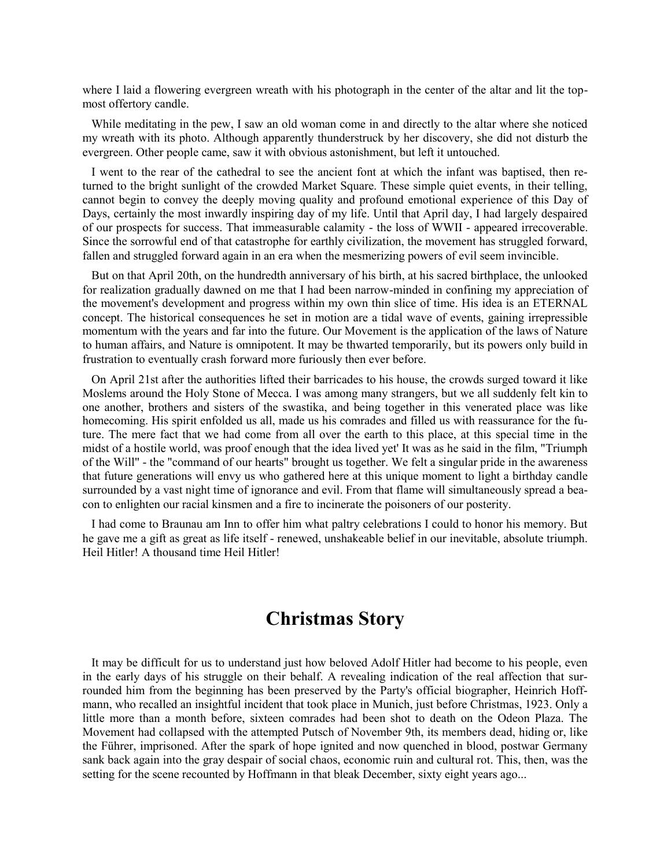where I laid a flowering evergreen wreath with his photograph in the center of the altar and lit the topmost offertory candle.

 While meditating in the pew, I saw an old woman come in and directly to the altar where she noticed my wreath with its photo. Although apparently thunderstruck by her discovery, she did not disturb the evergreen. Other people came, saw it with obvious astonishment, but left it untouched.

 I went to the rear of the cathedral to see the ancient font at which the infant was baptised, then returned to the bright sunlight of the crowded Market Square. These simple quiet events, in their telling, cannot begin to convey the deeply moving quality and profound emotional experience of this Day of Days, certainly the most inwardly inspiring day of my life. Until that April day, I had largely despaired of our prospects for success. That immeasurable calamity - the loss of WWII - appeared irrecoverable. Since the sorrowful end of that catastrophe for earthly civilization, the movement has struggled forward, fallen and struggled forward again in an era when the mesmerizing powers of evil seem invincible.

 But on that April 20th, on the hundredth anniversary of his birth, at his sacred birthplace, the unlooked for realization gradually dawned on me that I had been narrow-minded in confining my appreciation of the movement's development and progress within my own thin slice of time. His idea is an ETERNAL concept. The historical consequences he set in motion are a tidal wave of events, gaining irrepressible momentum with the years and far into the future. Our Movement is the application of the laws of Nature to human affairs, and Nature is omnipotent. It may be thwarted temporarily, but its powers only build in frustration to eventually crash forward more furiously then ever before.

 On April 21st after the authorities lifted their barricades to his house, the crowds surged toward it like Moslems around the Holy Stone of Mecca. I was among many strangers, but we all suddenly felt kin to one another, brothers and sisters of the swastika, and being together in this venerated place was like homecoming. His spirit enfolded us all, made us his comrades and filled us with reassurance for the future. The mere fact that we had come from all over the earth to this place, at this special time in the midst of a hostile world, was proof enough that the idea lived yet' It was as he said in the film, "Triumph of the Will" - the "command of our hearts" brought us together. We felt a singular pride in the awareness that future generations will envy us who gathered here at this unique moment to light a birthday candle surrounded by a vast night time of ignorance and evil. From that flame will simultaneously spread a beacon to enlighten our racial kinsmen and a fire to incinerate the poisoners of our posterity.

 I had come to Braunau am Inn to offer him what paltry celebrations I could to honor his memory. But he gave me a gift as great as life itself - renewed, unshakeable belief in our inevitable, absolute triumph. Heil Hitler! A thousand time Heil Hitler!

# **Christmas Story**

 It may be difficult for us to understand just how beloved Adolf Hitler had become to his people, even in the early days of his struggle on their behalf. A revealing indication of the real affection that surrounded him from the beginning has been preserved by the Party's official biographer, Heinrich Hoffmann, who recalled an insightful incident that took place in Munich, just before Christmas, 1923. Only a little more than a month before, sixteen comrades had been shot to death on the Odeon Plaza. The Movement had collapsed with the attempted Putsch of November 9th, its members dead, hiding or, like the Führer, imprisoned. After the spark of hope ignited and now quenched in blood, postwar Germany sank back again into the gray despair of social chaos, economic ruin and cultural rot. This, then, was the setting for the scene recounted by Hoffmann in that bleak December, sixty eight years ago...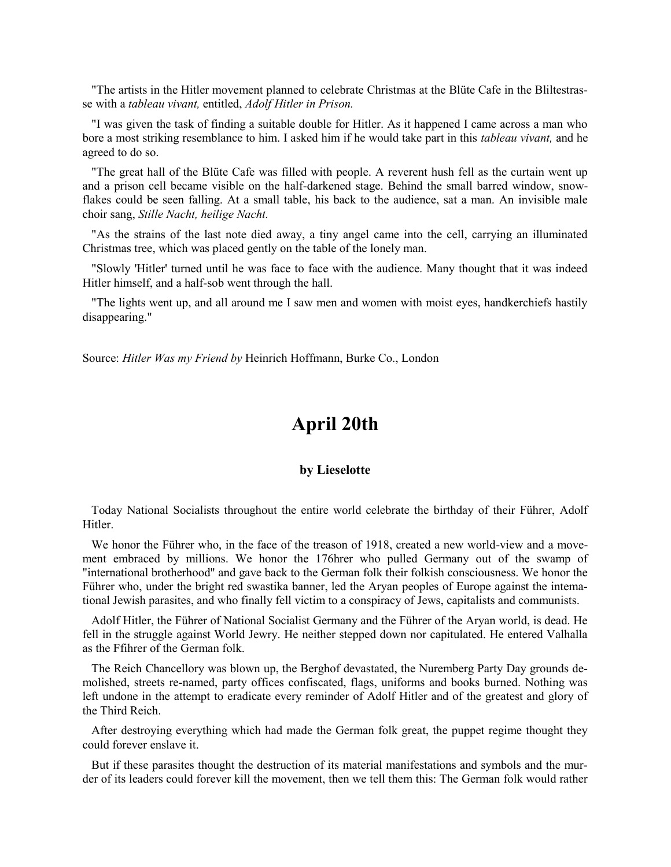"The artists in the Hitler movement planned to celebrate Christmas at the Blüte Cafe in the Bliltestrasse with a *tableau vivant,* entitled, *Adolf Hitler in Prison.*

"I was given the task of finding a suitable double for Hitler. As it happened I came across a man who bore a most striking resemblance to him. I asked him if he would take part in this *tableau vivant,* and he agreed to do so.

 "The great hall of the Blüte Cafe was filled with people. A reverent hush fell as the curtain went up and a prison cell became visible on the half-darkened stage. Behind the small barred window, snowflakes could be seen falling. At a small table, his back to the audience, sat a man. An invisible male choir sang, *Stille Nacht, heilige Nacht.*

"As the strains of the last note died away, a tiny angel came into the cell, carrying an illuminated Christmas tree, which was placed gently on the table of the lonely man.

 "Slowly 'Hitler' turned until he was face to face with the audience. Many thought that it was indeed Hitler himself, and a half-sob went through the hall.

 "The lights went up, and all around me I saw men and women with moist eyes, handkerchiefs hastily disappearing."

Source: *Hitler Was my Friend by* Heinrich Hoffmann, Burke Co., London

### **April 20th**

#### **by Lieselotte**

 Today National Socialists throughout the entire world celebrate the birthday of their Führer, Adolf Hitler.

 We honor the Führer who, in the face of the treason of 1918, created a new world-view and a movement embraced by millions. We honor the 176hrer who pulled Germany out of the swamp of "international brotherhood" and gave back to the German folk their folkish consciousness. We honor the Führer who, under the bright red swastika banner, led the Aryan peoples of Europe against the intemational Jewish parasites, and who finally fell victim to a conspiracy of Jews, capitalists and communists.

 Adolf Hitler, the Führer of National Socialist Germany and the Führer of the Aryan world, is dead. He fell in the struggle against World Jewry. He neither stepped down nor capitulated. He entered Valhalla as the Ffihrer of the German folk.

 The Reich Chancellory was blown up, the Berghof devastated, the Nuremberg Party Day grounds demolished, streets re-named, party offices confiscated, flags, uniforms and books burned. Nothing was left undone in the attempt to eradicate every reminder of Adolf Hitler and of the greatest and glory of the Third Reich.

 After destroying everything which had made the German folk great, the puppet regime thought they could forever enslave it.

 But if these parasites thought the destruction of its material manifestations and symbols and the murder of its leaders could forever kill the movement, then we tell them this: The German folk would rather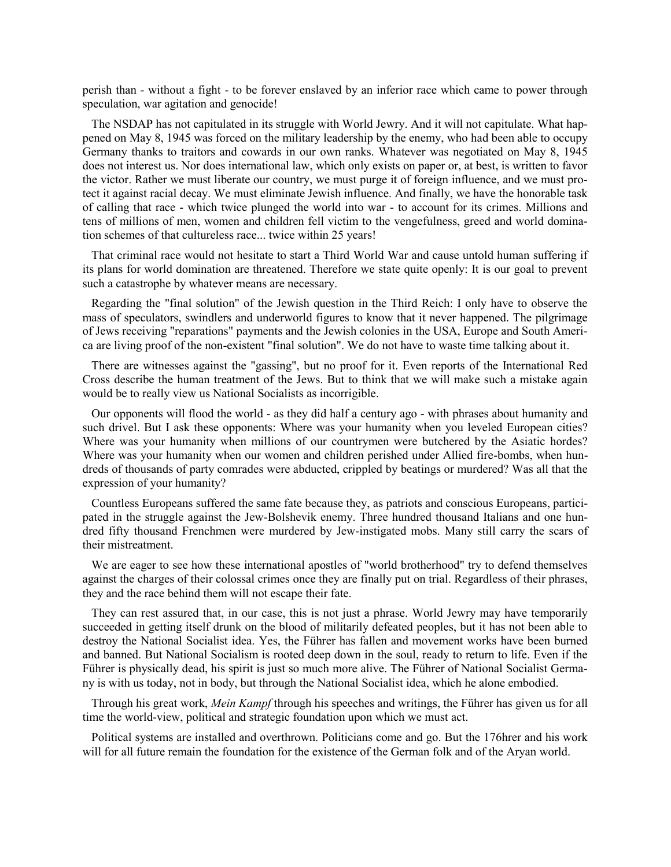perish than - without a fight - to be forever enslaved by an inferior race which came to power through speculation, war agitation and genocide!

 The NSDAP has not capitulated in its struggle with World Jewry. And it will not capitulate. What happened on May 8, 1945 was forced on the military leadership by the enemy, who had been able to occupy Germany thanks to traitors and cowards in our own ranks. Whatever was negotiated on May 8, 1945 does not interest us. Nor does international law, which only exists on paper or, at best, is written to favor the victor. Rather we must liberate our country, we must purge it of foreign influence, and we must protect it against racial decay. We must eliminate Jewish influence. And finally, we have the honorable task of calling that race - which twice plunged the world into war - to account for its crimes. Millions and tens of millions of men, women and children fell victim to the vengefulness, greed and world domination schemes of that cultureless race... twice within 25 years!

 That criminal race would not hesitate to start a Third World War and cause untold human suffering if its plans for world domination are threatened. Therefore we state quite openly: It is our goal to prevent such a catastrophe by whatever means are necessary.

 Regarding the "final solution" of the Jewish question in the Third Reich: I only have to observe the mass of speculators, swindlers and underworld figures to know that it never happened. The pilgrimage of Jews receiving "reparations" payments and the Jewish colonies in the USA, Europe and South America are living proof of the non-existent "final solution". We do not have to waste time talking about it.

 There are witnesses against the "gassing", but no proof for it. Even reports of the International Red Cross describe the human treatment of the Jews. But to think that we will make such a mistake again would be to really view us National Socialists as incorrigible.

 Our opponents will flood the world - as they did half a century ago - with phrases about humanity and such drivel. But I ask these opponents: Where was your humanity when you leveled European cities? Where was your humanity when millions of our countrymen were butchered by the Asiatic hordes? Where was your humanity when our women and children perished under Allied fire-bombs, when hundreds of thousands of party comrades were abducted, crippled by beatings or murdered? Was all that the expression of your humanity?

 Countless Europeans suffered the same fate because they, as patriots and conscious Europeans, participated in the struggle against the Jew-Bolshevik enemy. Three hundred thousand Italians and one hundred fifty thousand Frenchmen were murdered by Jew-instigated mobs. Many still carry the scars of their mistreatment.

We are eager to see how these international apostles of "world brotherhood" try to defend themselves against the charges of their colossal crimes once they are finally put on trial. Regardless of their phrases, they and the race behind them will not escape their fate.

 They can rest assured that, in our case, this is not just a phrase. World Jewry may have temporarily succeeded in getting itself drunk on the blood of militarily defeated peoples, but it has not been able to destroy the National Socialist idea. Yes, the Führer has fallen and movement works have been burned and banned. But National Socialism is rooted deep down in the soul, ready to return to life. Even if the Führer is physically dead, his spirit is just so much more alive. The Führer of National Socialist Germany is with us today, not in body, but through the National Socialist idea, which he alone embodied.

 Through his great work, *Mein Kampf* through his speeches and writings, the Führer has given us for all time the world-view, political and strategic foundation upon which we must act.

 Political systems are installed and overthrown. Politicians come and go. But the 176hrer and his work will for all future remain the foundation for the existence of the German folk and of the Aryan world.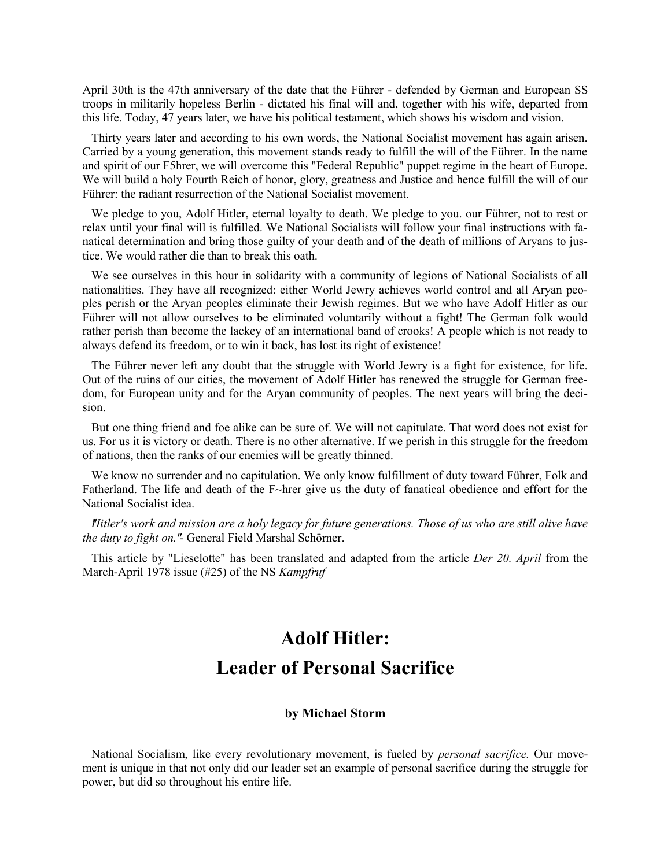April 30th is the 47th anniversary of the date that the Führer - defended by German and European SS troops in militarily hopeless Berlin - dictated his final will and, together with his wife, departed from this life. Today, 47 years later, we have his political testament, which shows his wisdom and vision.

 Thirty years later and according to his own words, the National Socialist movement has again arisen. Carried by a young generation, this movement stands ready to fulfill the will of the Führer. In the name and spirit of our F5hrer, we will overcome this "Federal Republic" puppet regime in the heart of Europe. We will build a holy Fourth Reich of honor, glory, greatness and Justice and hence fulfill the will of our Führer: the radiant resurrection of the National Socialist movement.

 We pledge to you, Adolf Hitler, eternal loyalty to death. We pledge to you. our Führer, not to rest or relax until your final will is fulfilled. We National Socialists will follow your final instructions with fanatical determination and bring those guilty of your death and of the death of millions of Aryans to justice. We would rather die than to break this oath.

 We see ourselves in this hour in solidarity with a community of legions of National Socialists of all nationalities. They have all recognized: either World Jewry achieves world control and all Aryan peoples perish or the Aryan peoples eliminate their Jewish regimes. But we who have Adolf Hitler as our Führer will not allow ourselves to be eliminated voluntarily without a fight! The German folk would rather perish than become the lackey of an international band of crooks! A people which is not ready to always defend its freedom, or to win it back, has lost its right of existence!

 The Führer never left any doubt that the struggle with World Jewry is a fight for existence, for life. Out of the ruins of our cities, the movement of Adolf Hitler has renewed the struggle for German freedom, for European unity and for the Aryan community of peoples. The next years will bring the decision.

 But one thing friend and foe alike can be sure of. We will not capitulate. That word does not exist for us. For us it is victory or death. There is no other alternative. If we perish in this struggle for the freedom of nations, then the ranks of our enemies will be greatly thinned.

 We know no surrender and no capitulation. We only know fulfillment of duty toward Führer, Folk and Fatherland. The life and death of the F~hrer give us the duty of fanatical obedience and effort for the National Socialist idea.

 *"Hitler's work and mission are a holy legacy for future generations. Those of us who are still alive have the duty to fight on."*- General Field Marshal Schörner.

 This article by "Lieselotte" has been translated and adapted from the article *Der 20. April* from the March-April 1978 issue (#25) of the NS *Kampfruf*

# **Adolf Hitler: Leader of Personal Sacrifice**

#### **by Michael Storm**

 National Socialism, like every revolutionary movement, is fueled by *personal sacrifice.* Our movement is unique in that not only did our leader set an example of personal sacrifice during the struggle for power, but did so throughout his entire life.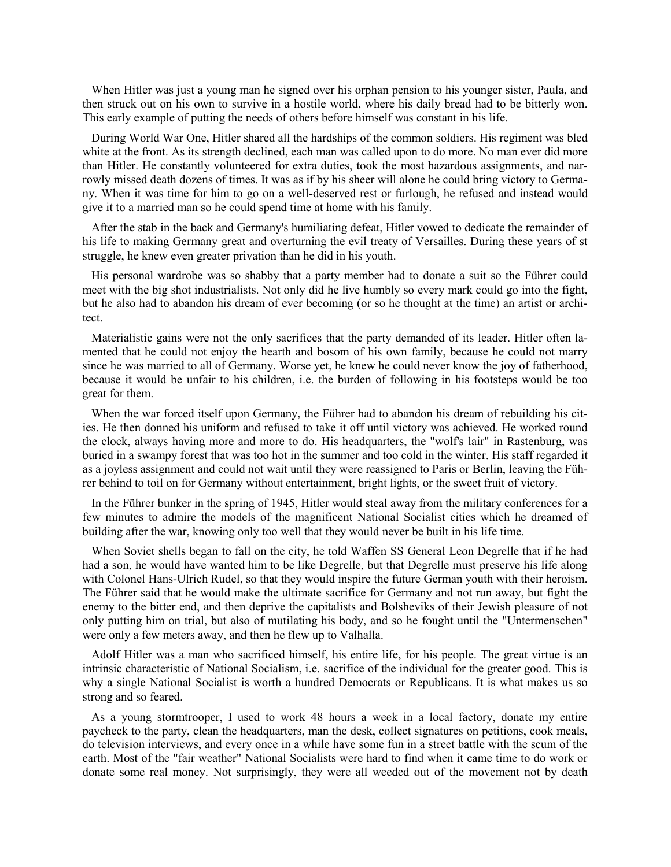When Hitler was just a young man he signed over his orphan pension to his younger sister, Paula, and then struck out on his own to survive in a hostile world, where his daily bread had to be bitterly won. This early example of putting the needs of others before himself was constant in his life.

 During World War One, Hitler shared all the hardships of the common soldiers. His regiment was bled white at the front. As its strength declined, each man was called upon to do more. No man ever did more than Hitler. He constantly volunteered for extra duties, took the most hazardous assignments, and narrowly missed death dozens of times. It was as if by his sheer will alone he could bring victory to Germany. When it was time for him to go on a well-deserved rest or furlough, he refused and instead would give it to a married man so he could spend time at home with his family.

 After the stab in the back and Germany's humiliating defeat, Hitler vowed to dedicate the remainder of his life to making Germany great and overturning the evil treaty of Versailles. During these years of st struggle, he knew even greater privation than he did in his youth.

 His personal wardrobe was so shabby that a party member had to donate a suit so the Führer could meet with the big shot industrialists. Not only did he live humbly so every mark could go into the fight, but he also had to abandon his dream of ever becoming (or so he thought at the time) an artist or architect.

 Materialistic gains were not the only sacrifices that the party demanded of its leader. Hitler often lamented that he could not enjoy the hearth and bosom of his own family, because he could not marry since he was married to all of Germany. Worse yet, he knew he could never know the joy of fatherhood, because it would be unfair to his children, i.e. the burden of following in his footsteps would be too great for them.

 When the war forced itself upon Germany, the Führer had to abandon his dream of rebuilding his cities. He then donned his uniform and refused to take it off until victory was achieved. He worked round the clock, always having more and more to do. His headquarters, the "wolf's lair" in Rastenburg, was buried in a swampy forest that was too hot in the summer and too cold in the winter. His staff regarded it as a joyless assignment and could not wait until they were reassigned to Paris or Berlin, leaving the Führer behind to toil on for Germany without entertainment, bright lights, or the sweet fruit of victory.

 In the Führer bunker in the spring of 1945, Hitler would steal away from the military conferences for a few minutes to admire the models of the magnificent National Socialist cities which he dreamed of building after the war, knowing only too well that they would never be built in his life time.

 When Soviet shells began to fall on the city, he told Waffen SS General Leon Degrelle that if he had had a son, he would have wanted him to be like Degrelle, but that Degrelle must preserve his life along with Colonel Hans-Ulrich Rudel, so that they would inspire the future German youth with their heroism. The Führer said that he would make the ultimate sacrifice for Germany and not run away, but fight the enemy to the bitter end, and then deprive the capitalists and Bolsheviks of their Jewish pleasure of not only putting him on trial, but also of mutilating his body, and so he fought until the "Untermenschen" were only a few meters away, and then he flew up to Valhalla.

 Adolf Hitler was a man who sacrificed himself, his entire life, for his people. The great virtue is an intrinsic characteristic of National Socialism, i.e. sacrifice of the individual for the greater good. This is why a single National Socialist is worth a hundred Democrats or Republicans. It is what makes us so strong and so feared.

 As a young stormtrooper, I used to work 48 hours a week in a local factory, donate my entire paycheck to the party, clean the headquarters, man the desk, collect signatures on petitions, cook meals, do television interviews, and every once in a while have some fun in a street battle with the scum of the earth. Most of the "fair weather" National Socialists were hard to find when it came time to do work or donate some real money. Not surprisingly, they were all weeded out of the movement not by death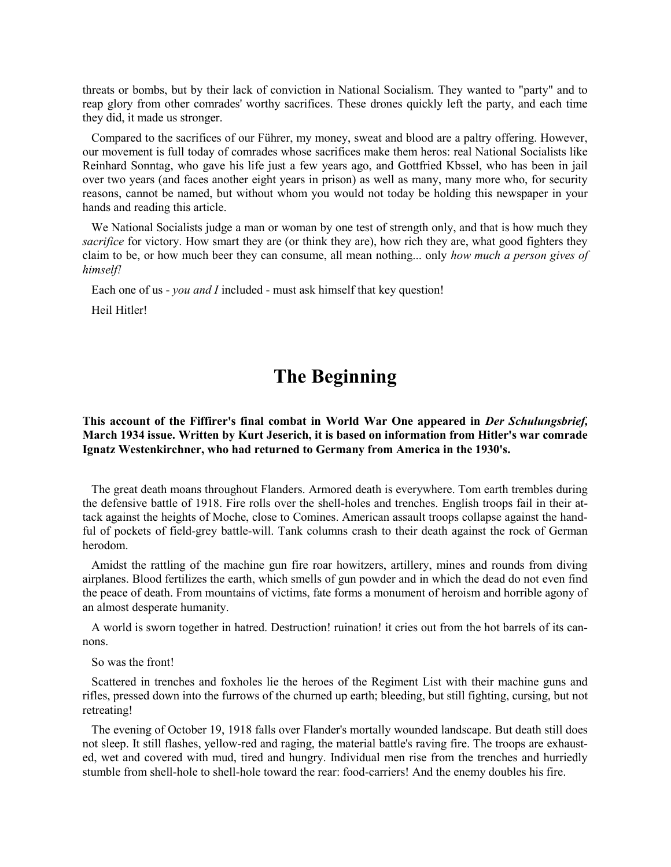threats or bombs, but by their lack of conviction in National Socialism. They wanted to "party" and to reap glory from other comrades' worthy sacrifices. These drones quickly left the party, and each time they did, it made us stronger.

 Compared to the sacrifices of our Führer, my money, sweat and blood are a paltry offering. However, our movement is full today of comrades whose sacrifices make them heros: real National Socialists like Reinhard Sonntag, who gave his life just a few years ago, and Gottfried Kbssel, who has been in jail over two years (and faces another eight years in prison) as well as many, many more who, for security reasons, cannot be named, but without whom you would not today be holding this newspaper in your hands and reading this article.

We National Socialists judge a man or woman by one test of strength only, and that is how much they *sacrifice* for victory. How smart they are (or think they are), how rich they are, what good fighters they claim to be, or how much beer they can consume, all mean nothing... only *how much a person gives of himself!*

Each one of us - *you and I* included - must ask himself that key question!

Heil Hitler!

# **The Beginning**

#### **This account of the Fiffirer's final combat in World War One appeared in** *Der Schulungsbrief,* **March 1934 issue. Written by Kurt Jeserich, it is based on information from Hitler's war comrade Ignatz Westenkirchner, who had returned to Germany from America in the 1930's.**

 The great death moans throughout Flanders. Armored death is everywhere. Tom earth trembles during the defensive battle of 1918. Fire rolls over the shell-holes and trenches. English troops fail in their attack against the heights of Moche, close to Comines. American assault troops collapse against the handful of pockets of field-grey battle-will. Tank columns crash to their death against the rock of German herodom.

 Amidst the rattling of the machine gun fire roar howitzers, artillery, mines and rounds from diving airplanes. Blood fertilizes the earth, which smells of gun powder and in which the dead do not even find the peace of death. From mountains of victims, fate forms a monument of heroism and horrible agony of an almost desperate humanity.

 A world is sworn together in hatred. Destruction! ruination! it cries out from the hot barrels of its cannons.

So was the front!

 Scattered in trenches and foxholes lie the heroes of the Regiment List with their machine guns and rifles, pressed down into the furrows of the churned up earth; bleeding, but still fighting, cursing, but not retreating!

 The evening of October 19, 1918 falls over Flander's mortally wounded landscape. But death still does not sleep. It still flashes, yellow-red and raging, the material battle's raving fire. The troops are exhausted, wet and covered with mud, tired and hungry. Individual men rise from the trenches and hurriedly stumble from shell-hole to shell-hole toward the rear: food-carriers! And the enemy doubles his fire.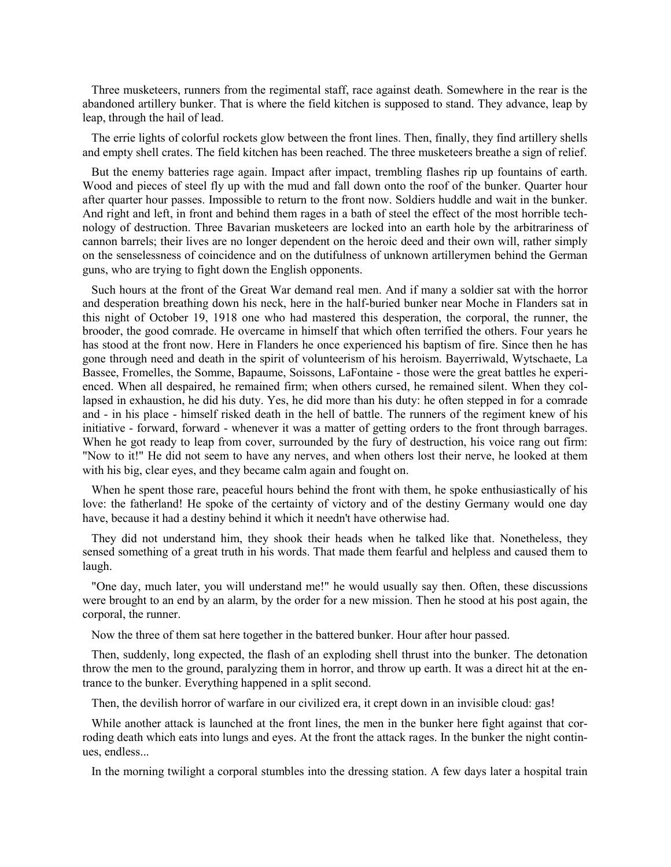Three musketeers, runners from the regimental staff, race against death. Somewhere in the rear is the abandoned artillery bunker. That is where the field kitchen is supposed to stand. They advance, leap by leap, through the hail of lead.

 The errie lights of colorful rockets glow between the front lines. Then, finally, they find artillery shells and empty shell crates. The field kitchen has been reached. The three musketeers breathe a sign of relief.

 But the enemy batteries rage again. Impact after impact, trembling flashes rip up fountains of earth. Wood and pieces of steel fly up with the mud and fall down onto the roof of the bunker. Quarter hour after quarter hour passes. Impossible to return to the front now. Soldiers huddle and wait in the bunker. And right and left, in front and behind them rages in a bath of steel the effect of the most horrible technology of destruction. Three Bavarian musketeers are locked into an earth hole by the arbitrariness of cannon barrels; their lives are no longer dependent on the heroic deed and their own will, rather simply on the senselessness of coincidence and on the dutifulness of unknown artillerymen behind the German guns, who are trying to fight down the English opponents.

 Such hours at the front of the Great War demand real men. And if many a soldier sat with the horror and desperation breathing down his neck, here in the half-buried bunker near Moche in Flanders sat in this night of October 19, 1918 one who had mastered this desperation, the corporal, the runner, the brooder, the good comrade. He overcame in himself that which often terrified the others. Four years he has stood at the front now. Here in Flanders he once experienced his baptism of fire. Since then he has gone through need and death in the spirit of volunteerism of his heroism. Bayerriwald, Wytschaete, La Bassee, Fromelles, the Somme, Bapaume, Soissons, LaFontaine - those were the great battles he experienced. When all despaired, he remained firm; when others cursed, he remained silent. When they collapsed in exhaustion, he did his duty. Yes, he did more than his duty: he often stepped in for a comrade and - in his place - himself risked death in the hell of battle. The runners of the regiment knew of his initiative - forward, forward - whenever it was a matter of getting orders to the front through barrages. When he got ready to leap from cover, surrounded by the fury of destruction, his voice rang out firm: "Now to it!" He did not seem to have any nerves, and when others lost their nerve, he looked at them with his big, clear eyes, and they became calm again and fought on.

 When he spent those rare, peaceful hours behind the front with them, he spoke enthusiastically of his love: the fatherland! He spoke of the certainty of victory and of the destiny Germany would one day have, because it had a destiny behind it which it needn't have otherwise had.

 They did not understand him, they shook their heads when he talked like that. Nonetheless, they sensed something of a great truth in his words. That made them fearful and helpless and caused them to laugh.

 "One day, much later, you will understand me!" he would usually say then. Often, these discussions were brought to an end by an alarm, by the order for a new mission. Then he stood at his post again, the corporal, the runner.

Now the three of them sat here together in the battered bunker. Hour after hour passed.

 Then, suddenly, long expected, the flash of an exploding shell thrust into the bunker. The detonation throw the men to the ground, paralyzing them in horror, and throw up earth. It was a direct hit at the entrance to the bunker. Everything happened in a split second.

Then, the devilish horror of warfare in our civilized era, it crept down in an invisible cloud: gas!

 While another attack is launched at the front lines, the men in the bunker here fight against that corroding death which eats into lungs and eyes. At the front the attack rages. In the bunker the night continues, endless...

In the morning twilight a corporal stumbles into the dressing station. A few days later a hospital train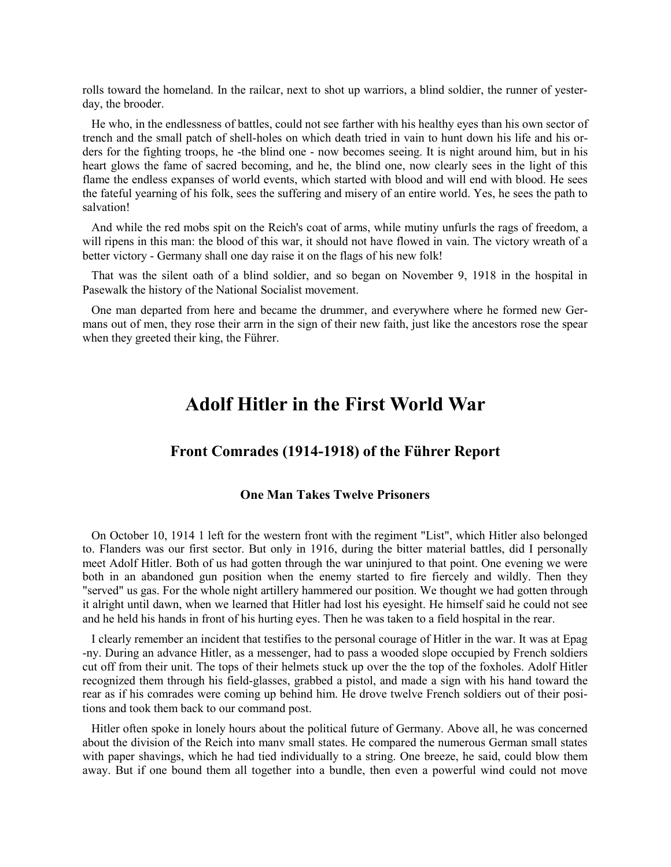rolls toward the homeland. In the railcar, next to shot up warriors, a blind soldier, the runner of yesterday, the brooder.

 He who, in the endlessness of battles, could not see farther with his healthy eyes than his own sector of trench and the small patch of shell-holes on which death tried in vain to hunt down his life and his orders for the fighting troops, he -the blind one - now becomes seeing. It is night around him, but in his heart glows the fame of sacred becoming, and he, the blind one, now clearly sees in the light of this flame the endless expanses of world events, which started with blood and will end with blood. He sees the fateful yearning of his folk, sees the suffering and misery of an entire world. Yes, he sees the path to salvation!

 And while the red mobs spit on the Reich's coat of arms, while mutiny unfurls the rags of freedom, a will ripens in this man: the blood of this war, it should not have flowed in vain. The victory wreath of a better victory - Germany shall one day raise it on the flags of his new folk!

 That was the silent oath of a blind soldier, and so began on November 9, 1918 in the hospital in Pasewalk the history of the National Socialist movement.

 One man departed from here and became the drummer, and everywhere where he formed new Germans out of men, they rose their arrn in the sign of their new faith, just like the ancestors rose the spear when they greeted their king, the Führer.

# **Adolf Hitler in the First World War**

#### **Front Comrades (1914-1918) of the Führer Report**

#### **One Man Takes Twelve Prisoners**

 On October 10, 1914 1 left for the western front with the regiment "List", which Hitler also belonged to. Flanders was our first sector. But only in 1916, during the bitter material battles, did I personally meet Adolf Hitler. Both of us had gotten through the war uninjured to that point. One evening we were both in an abandoned gun position when the enemy started to fire fiercely and wildly. Then they "served" us gas. For the whole night artillery hammered our position. We thought we had gotten through it alright until dawn, when we learned that Hitler had lost his eyesight. He himself said he could not see and he held his hands in front of his hurting eyes. Then he was taken to a field hospital in the rear.

 I clearly remember an incident that testifies to the personal courage of Hitler in the war. It was at Epag -ny. During an advance Hitler, as a messenger, had to pass a wooded slope occupied by French soldiers cut off from their unit. The tops of their helmets stuck up over the the top of the foxholes. Adolf Hitler recognized them through his field-glasses, grabbed a pistol, and made a sign with his hand toward the rear as if his comrades were coming up behind him. He drove twelve French soldiers out of their positions and took them back to our command post.

 Hitler often spoke in lonely hours about the political future of Germany. Above all, he was concerned about the division of the Reich into manv small states. He compared the numerous German small states with paper shavings, which he had tied individually to a string. One breeze, he said, could blow them away. But if one bound them all together into a bundle, then even a powerful wind could not move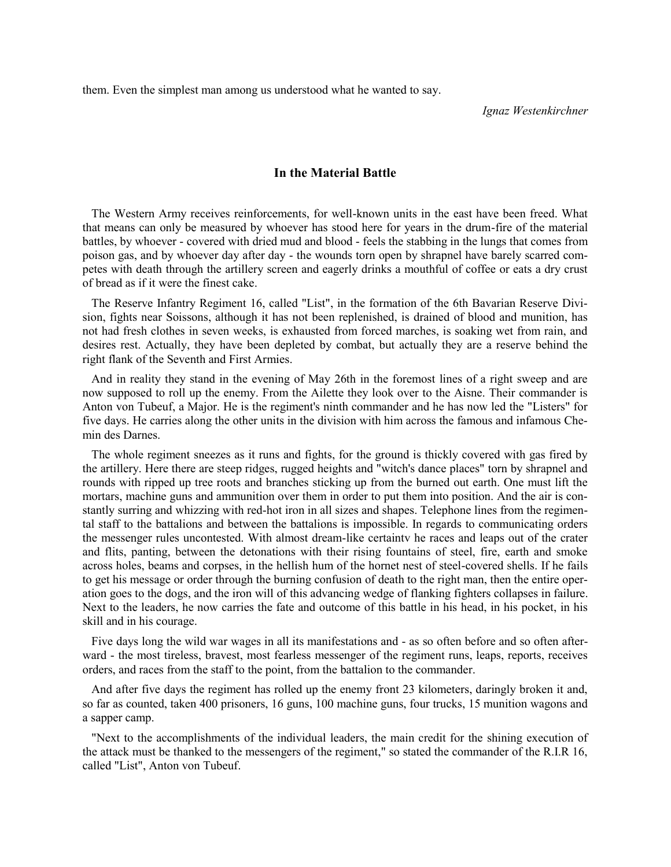them. Even the simplest man among us understood what he wanted to say.

*Ignaz Westenkirchner*

#### **In the Material Battle**

 The Western Army receives reinforcements, for well-known units in the east have been freed. What that means can only be measured by whoever has stood here for years in the drum-fire of the material battles, by whoever - covered with dried mud and blood - feels the stabbing in the lungs that comes from poison gas, and by whoever day after day - the wounds torn open by shrapnel have barely scarred competes with death through the artillery screen and eagerly drinks a mouthful of coffee or eats a dry crust of bread as if it were the finest cake.

 The Reserve Infantry Regiment 16, called "List", in the formation of the 6th Bavarian Reserve Division, fights near Soissons, although it has not been replenished, is drained of blood and munition, has not had fresh clothes in seven weeks, is exhausted from forced marches, is soaking wet from rain, and desires rest. Actually, they have been depleted by combat, but actually they are a reserve behind the right flank of the Seventh and First Armies.

 And in reality they stand in the evening of May 26th in the foremost lines of a right sweep and are now supposed to roll up the enemy. From the Ailette they look over to the Aisne. Their commander is Anton von Tubeuf, a Major. He is the regiment's ninth commander and he has now led the "Listers" for five days. He carries along the other units in the division with him across the famous and infamous Chemin des Darnes.

 The whole regiment sneezes as it runs and fights, for the ground is thickly covered with gas fired by the artillery. Here there are steep ridges, rugged heights and "witch's dance places" torn by shrapnel and rounds with ripped up tree roots and branches sticking up from the burned out earth. One must lift the mortars, machine guns and ammunition over them in order to put them into position. And the air is constantly surring and whizzing with red-hot iron in all sizes and shapes. Telephone lines from the regimental staff to the battalions and between the battalions is impossible. In regards to communicating orders the messenger rules uncontested. With almost dream-like certaintv he races and leaps out of the crater and flits, panting, between the detonations with their rising fountains of steel, fire, earth and smoke across holes, beams and corpses, in the hellish hum of the hornet nest of steel-covered shells. If he fails to get his message or order through the burning confusion of death to the right man, then the entire operation goes to the dogs, and the iron will of this advancing wedge of flanking fighters collapses in failure. Next to the leaders, he now carries the fate and outcome of this battle in his head, in his pocket, in his skill and in his courage.

 Five days long the wild war wages in all its manifestations and - as so often before and so often afterward - the most tireless, bravest, most fearless messenger of the regiment runs, leaps, reports, receives orders, and races from the staff to the point, from the battalion to the commander.

 And after five days the regiment has rolled up the enemy front 23 kilometers, daringly broken it and, so far as counted, taken 400 prisoners, 16 guns, 100 machine guns, four trucks, 15 munition wagons and a sapper camp.

 "Next to the accomplishments of the individual leaders, the main credit for the shining execution of the attack must be thanked to the messengers of the regiment," so stated the commander of the R.I.R 16, called "List", Anton von Tubeuf.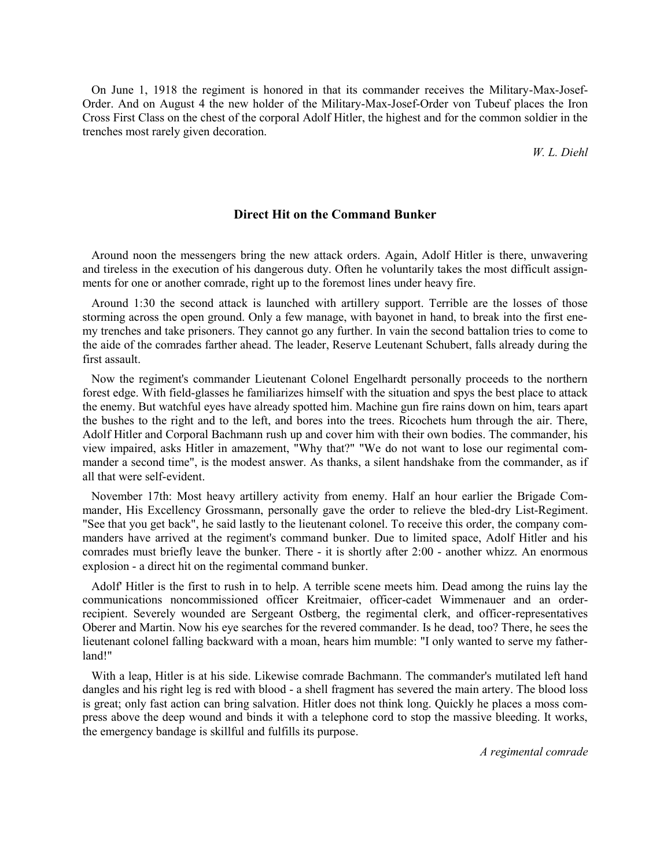On June 1, 1918 the regiment is honored in that its commander receives the Military-Max-Josef-Order. And on August 4 the new holder of the Military-Max-Josef-Order von Tubeuf places the Iron Cross First Class on the chest of the corporal Adolf Hitler, the highest and for the common soldier in the trenches most rarely given decoration.

*W. L. Diehl*

#### **Direct Hit on the Command Bunker**

 Around noon the messengers bring the new attack orders. Again, Adolf Hitler is there, unwavering and tireless in the execution of his dangerous duty. Often he voluntarily takes the most difficult assignments for one or another comrade, right up to the foremost lines under heavy fire.

 Around 1:30 the second attack is launched with artillery support. Terrible are the losses of those storming across the open ground. Only a few manage, with bayonet in hand, to break into the first enemy trenches and take prisoners. They cannot go any further. In vain the second battalion tries to come to the aide of the comrades farther ahead. The leader, Reserve Leutenant Schubert, falls already during the first assault.

 Now the regiment's commander Lieutenant Colonel Engelhardt personally proceeds to the northern forest edge. With field-glasses he familiarizes himself with the situation and spys the best place to attack the enemy. But watchful eyes have already spotted him. Machine gun fire rains down on him, tears apart the bushes to the right and to the left, and bores into the trees. Ricochets hum through the air. There, Adolf Hitler and Corporal Bachmann rush up and cover him with their own bodies. The commander, his view impaired, asks Hitler in amazement, "Why that?" "We do not want to lose our regimental commander a second time", is the modest answer. As thanks, a silent handshake from the commander, as if all that were self-evident.

 November 17th: Most heavy artillery activity from enemy. Half an hour earlier the Brigade Commander, His Excellency Grossmann, personally gave the order to relieve the bled-dry List-Regiment. "See that you get back", he said lastly to the lieutenant colonel. To receive this order, the company commanders have arrived at the regiment's command bunker. Due to limited space, Adolf Hitler and his comrades must briefly leave the bunker. There - it is shortly after 2:00 - another whizz. An enormous explosion - a direct hit on the regimental command bunker.

 Adolf' Hitler is the first to rush in to help. A terrible scene meets him. Dead among the ruins lay the communications noncommissioned officer Kreitmaier, officer-cadet Wimmenauer and an orderrecipient. Severely wounded are Sergeant Ostberg, the regimental clerk, and officer-representatives Oberer and Martin. Now his eye searches for the revered commander. Is he dead, too? There, he sees the lieutenant colonel falling backward with a moan, hears him mumble: "I only wanted to serve my fatherland!"

 With a leap, Hitler is at his side. Likewise comrade Bachmann. The commander's mutilated left hand dangles and his right leg is red with blood - a shell fragment has severed the main artery. The blood loss is great; only fast action can bring salvation. Hitler does not think long. Quickly he places a moss compress above the deep wound and binds it with a telephone cord to stop the massive bleeding. It works, the emergency bandage is skillful and fulfills its purpose.

*A regimental comrade*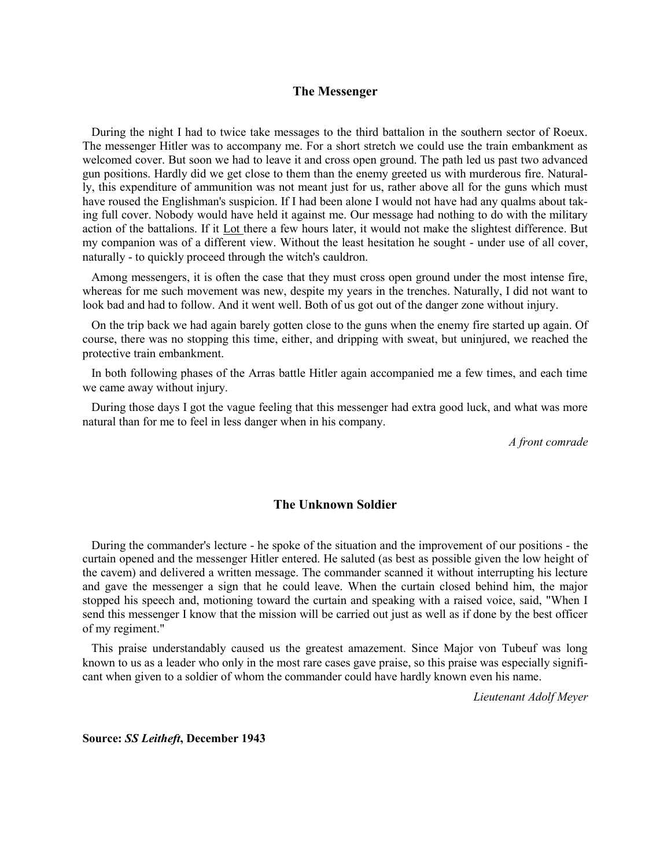#### **The Messenger**

 During the night I had to twice take messages to the third battalion in the southern sector of Roeux. The messenger Hitler was to accompany me. For a short stretch we could use the train embankment as welcomed cover. But soon we had to leave it and cross open ground. The path led us past two advanced gun positions. Hardly did we get close to them than the enemy greeted us with murderous fire. Naturally, this expenditure of ammunition was not meant just for us, rather above all for the guns which must have roused the Englishman's suspicion. If I had been alone I would not have had any qualms about taking full cover. Nobody would have held it against me. Our message had nothing to do with the military action of the battalions. If it Lot there a few hours later, it would not make the slightest difference. But my companion was of a different view. Without the least hesitation he sought - under use of all cover, naturally - to quickly proceed through the witch's cauldron.

 Among messengers, it is often the case that they must cross open ground under the most intense fire, whereas for me such movement was new, despite my years in the trenches. Naturally, I did not want to look bad and had to follow. And it went well. Both of us got out of the danger zone without injury.

 On the trip back we had again barely gotten close to the guns when the enemy fire started up again. Of course, there was no stopping this time, either, and dripping with sweat, but uninjured, we reached the protective train embankment.

 In both following phases of the Arras battle Hitler again accompanied me a few times, and each time we came away without injury.

 During those days I got the vague feeling that this messenger had extra good luck, and what was more natural than for me to feel in less danger when in his company.

*A front comrade*

#### **The Unknown Soldier**

 During the commander's lecture - he spoke of the situation and the improvement of our positions - the curtain opened and the messenger Hitler entered. He saluted (as best as possible given the low height of the cavem) and delivered a written message. The commander scanned it without interrupting his lecture and gave the messenger a sign that he could leave. When the curtain closed behind him, the major stopped his speech and, motioning toward the curtain and speaking with a raised voice, said, "When I send this messenger I know that the mission will be carried out just as well as if done by the best officer of my regiment."

 This praise understandably caused us the greatest amazement. Since Major von Tubeuf was long known to us as a leader who only in the most rare cases gave praise, so this praise was especially significant when given to a soldier of whom the commander could have hardly known even his name.

*Lieutenant Adolf Meyer*

**Source:** *SS Leitheft***, December 1943**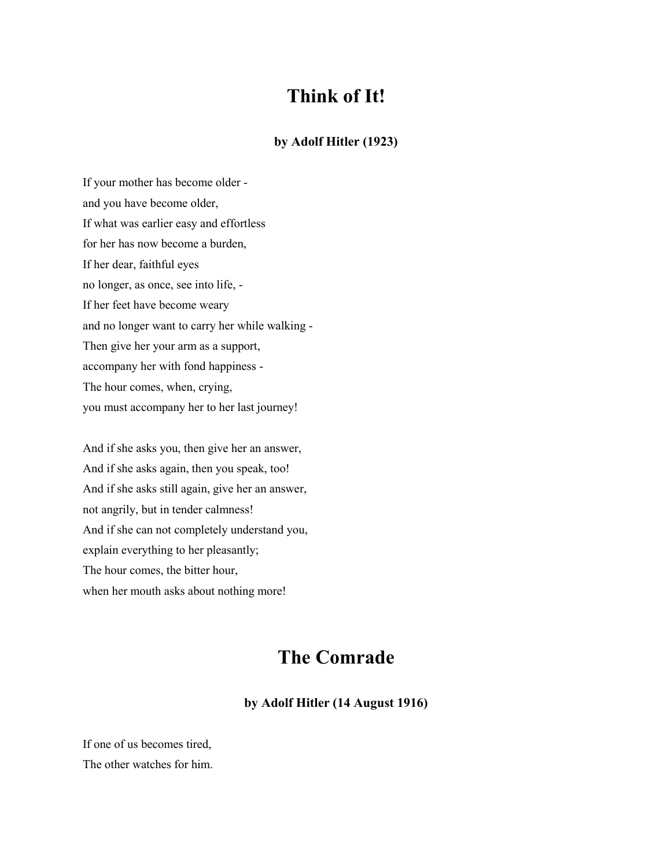# **Think of It!**

#### **by Adolf Hitler (1923)**

If your mother has become older and you have become older, If what was earlier easy and effortless for her has now become a burden, If her dear, faithful eyes no longer, as once, see into life, - If her feet have become weary and no longer want to carry her while walking - Then give her your arm as a support, accompany her with fond happiness - The hour comes, when, crying, you must accompany her to her last journey!

And if she asks you, then give her an answer, And if she asks again, then you speak, too! And if she asks still again, give her an answer, not angrily, but in tender calmness! And if she can not completely understand you, explain everything to her pleasantly; The hour comes, the bitter hour, when her mouth asks about nothing more!

# **The Comrade**

#### **by Adolf Hitler (14 August 1916)**

If one of us becomes tired, The other watches for him.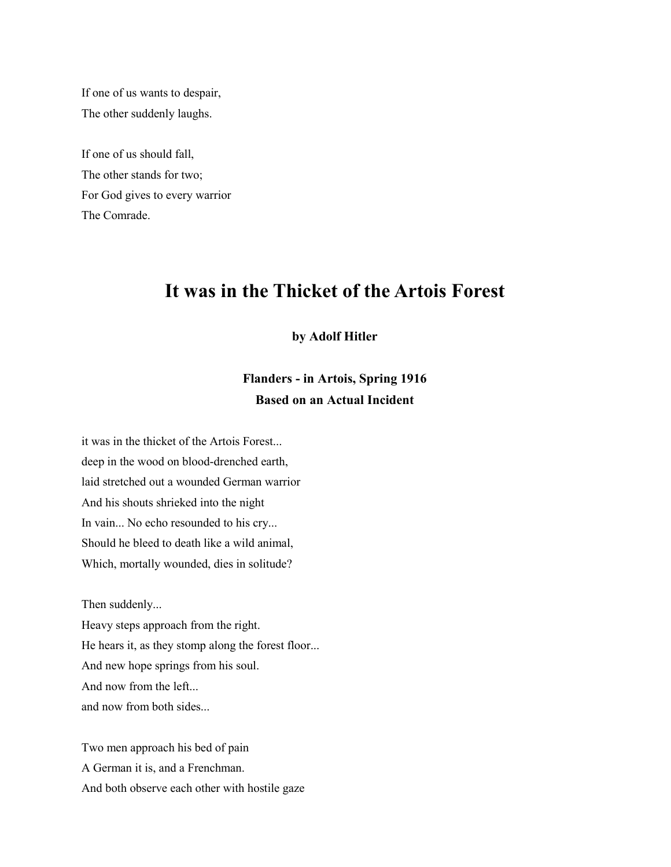If one of us wants to despair, The other suddenly laughs.

If one of us should fall, The other stands for two; For God gives to every warrior The Comrade.

# **It was in the Thicket of the Artois Forest**

#### **by Adolf Hitler**

### **Flanders - in Artois, Spring 1916 Based on an Actual Incident**

it was in the thicket of the Artois Forest... deep in the wood on blood-drenched earth, laid stretched out a wounded German warrior And his shouts shrieked into the night In vain... No echo resounded to his cry... Should he bleed to death like a wild animal, Which, mortally wounded, dies in solitude?

Then suddenly...

Heavy steps approach from the right. He hears it, as they stomp along the forest floor... And new hope springs from his soul. And now from the left... and now from both sides...

Two men approach his bed of pain A German it is, and a Frenchman. And both observe each other with hostile gaze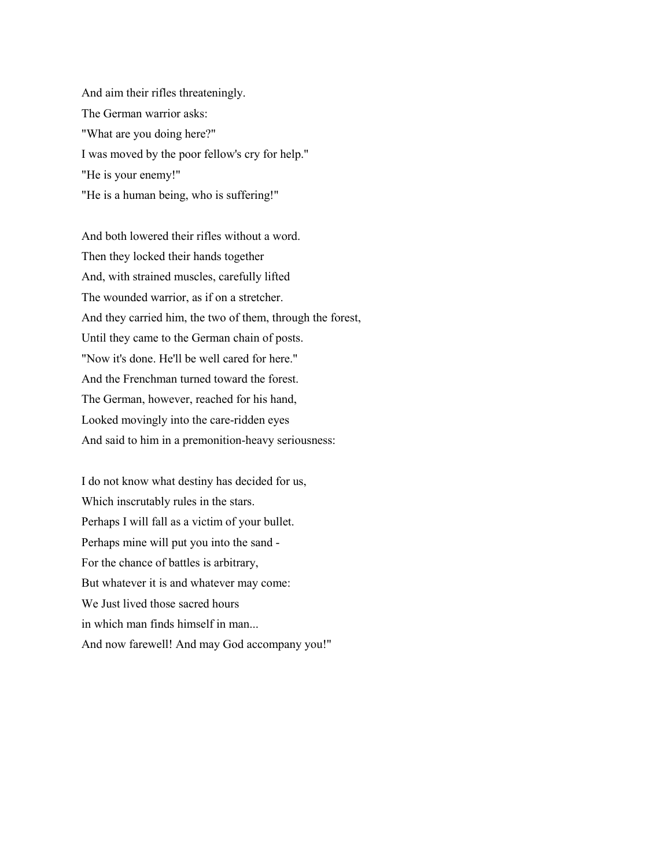And aim their rifles threateningly. The German warrior asks: "What are you doing here?" I was moved by the poor fellow's cry for help." "He is your enemy!" "He is a human being, who is suffering!"

And both lowered their rifles without a word. Then they locked their hands together And, with strained muscles, carefully lifted The wounded warrior, as if on a stretcher. And they carried him, the two of them, through the forest, Until they came to the German chain of posts. "Now it's done. He'll be well cared for here." And the Frenchman turned toward the forest. The German, however, reached for his hand, Looked movingly into the care-ridden eyes And said to him in a premonition-heavy seriousness:

I do not know what destiny has decided for us, Which inscrutably rules in the stars. Perhaps I will fall as a victim of your bullet. Perhaps mine will put you into the sand - For the chance of battles is arbitrary, But whatever it is and whatever may come: We Just lived those sacred hours in which man finds himself in man... And now farewell! And may God accompany you!"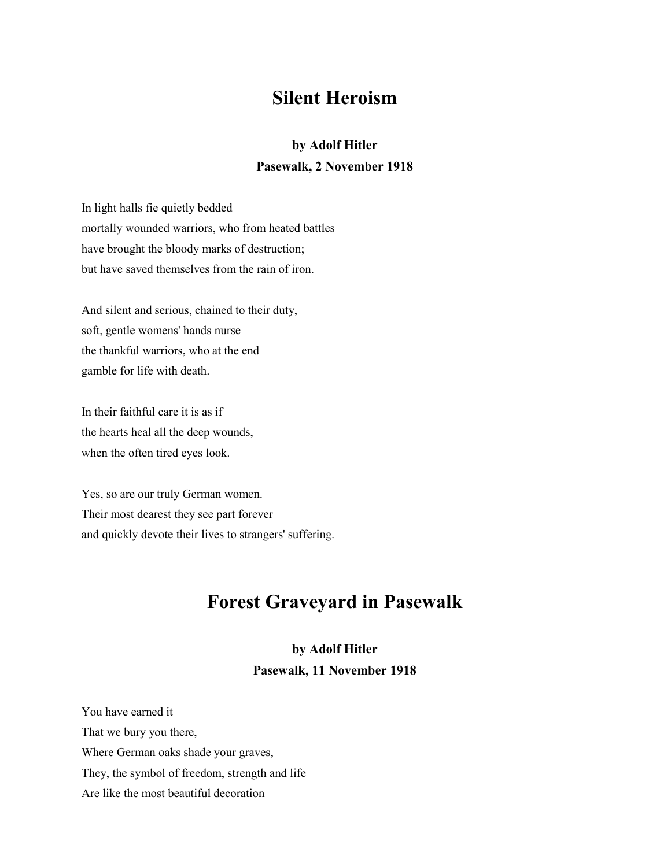# **Silent Heroism**

### **by Adolf Hitler Pasewalk, 2 November 1918**

In light halls fie quietly bedded mortally wounded warriors, who from heated battles have brought the bloody marks of destruction; but have saved themselves from the rain of iron.

And silent and serious, chained to their duty, soft, gentle womens' hands nurse the thankful warriors, who at the end gamble for life with death.

In their faithful care it is as if the hearts heal all the deep wounds, when the often tired eyes look.

Yes, so are our truly German women. Their most dearest they see part forever and quickly devote their lives to strangers' suffering.

# **Forest Graveyard in Pasewalk**

# **by Adolf Hitler**

#### **Pasewalk, 11 November 1918**

You have earned it That we bury you there, Where German oaks shade your graves, They, the symbol of freedom, strength and life Are like the most beautiful decoration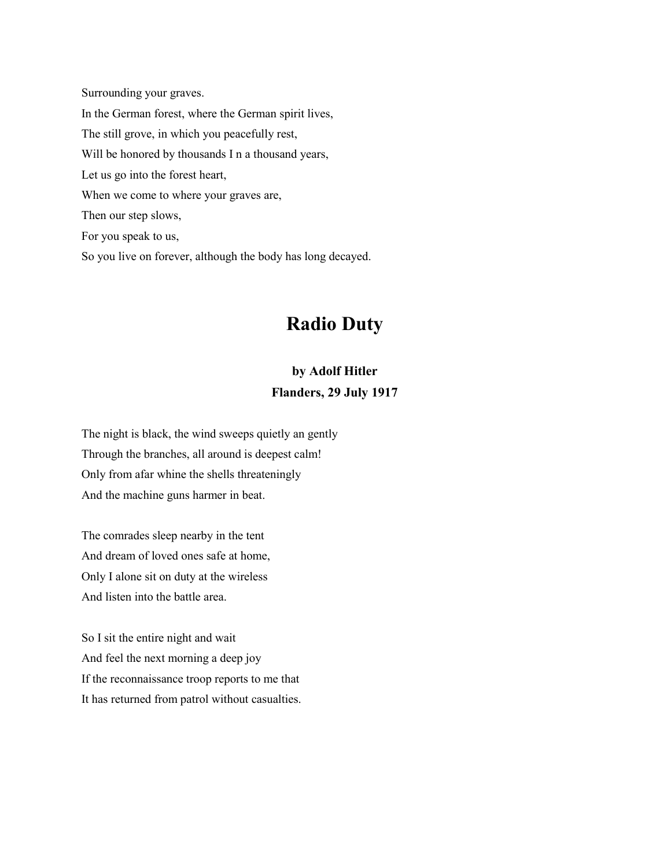Surrounding your graves. In the German forest, where the German spirit lives, The still grove, in which you peacefully rest, Will be honored by thousands I n a thousand years, Let us go into the forest heart, When we come to where your graves are, Then our step slows, For you speak to us, So you live on forever, although the body has long decayed.

# **Radio Duty**

# **by Adolf Hitler**

**Flanders, 29 July 1917**

The night is black, the wind sweeps quietly an gently Through the branches, all around is deepest calm! Only from afar whine the shells threateningly And the machine guns harmer in beat.

The comrades sleep nearby in the tent And dream of loved ones safe at home, Only I alone sit on duty at the wireless And listen into the battle area.

So I sit the entire night and wait And feel the next morning a deep joy If the reconnaissance troop reports to me that It has returned from patrol without casualties.